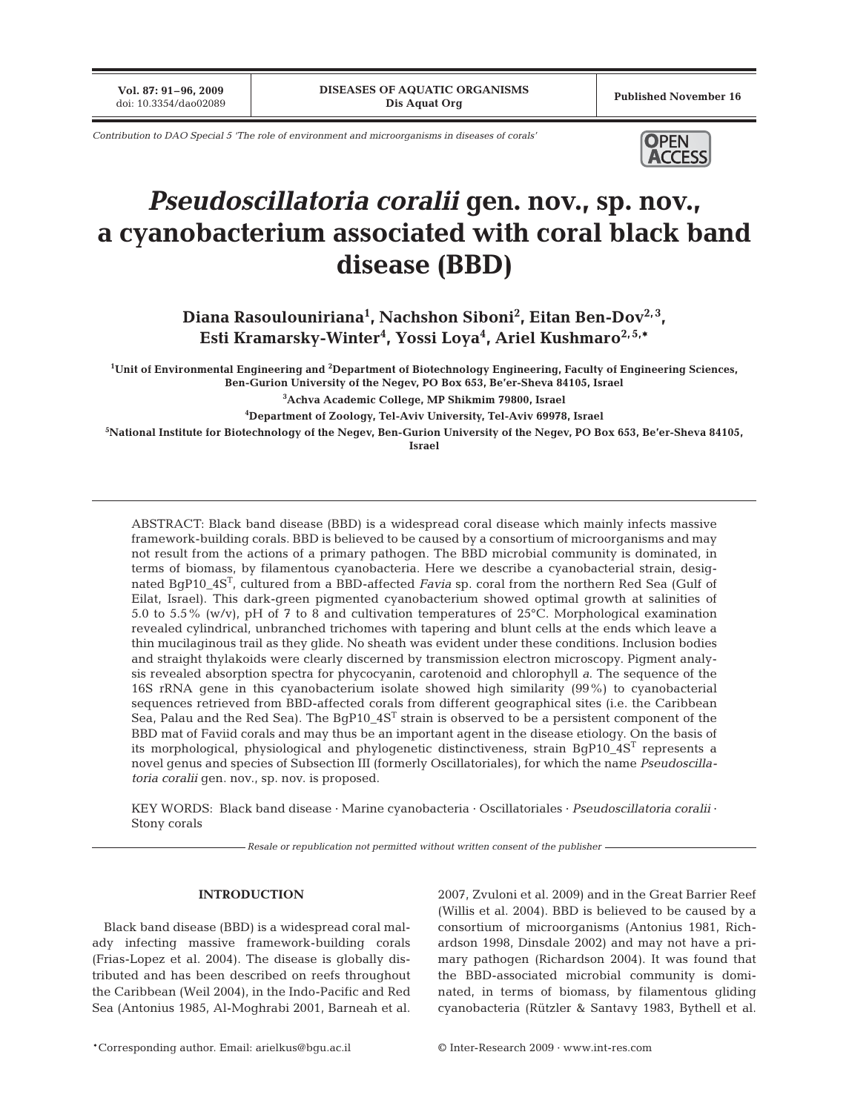**Vol. 87: 91–96, 2009**

*Contribution to DAO Special 5 'The role of environment and microorganisms in diseases of corals'* **OPEN** 



# *Pseudoscillatoria coralii* **gen. nov., sp. nov., a cyanobacterium associated with coral black band disease (BBD)**

Diana Rasoulouniriana<sup>1</sup>, Nachshon Siboni<sup>2</sup>, Eitan Ben-Dov<sup>2,3</sup>, **Esti Kramarsky-Winter4 , Yossi Loya4 , Ariel Kushmaro2, 5,\***

**1 Unit of Environmental Engineering and 2 Department of Biotechnology Engineering, Faculty of Engineering Sciences, Ben-Gurion University of the Negev, PO Box 653, Be'er-Sheva 84105, Israel**

**3 Achva Academic College, MP Shikmim 79800, Israel**

**4 Department of Zoology, Tel-Aviv University, Tel-Aviv 69978, Israel**

**5 National Institute for Biotechnology of the Negev, Ben-Gurion University of the Negev, PO Box 653, Be'er-Sheva 84105,**

**Israel**

ABSTRACT: Black band disease (BBD) is a widespread coral disease which mainly infects massive framework-building corals. BBD is believed to be caused by a consortium of microorganisms and may not result from the actions of a primary pathogen. The BBD microbial community is dominated, in terms of biomass, by filamentous cyanobacteria. Here we describe a cyanobacterial strain, designated BgP10\_4ST, cultured from a BBD-affected *Favia* sp. coral from the northern Red Sea (Gulf of Eilat, Israel). This dark-green pigmented cyanobacterium showed optimal growth at salinities of 5.0 to 5.5% (w/v), pH of 7 to 8 and cultivation temperatures of 25°C. Morphological examination revealed cylindrical, unbranched trichomes with tapering and blunt cells at the ends which leave a thin mucilaginous trail as they glide. No sheath was evident under these conditions. Inclusion bodies and straight thylakoids were clearly discerned by transmission electron microscopy. Pigment analysis revealed absorption spectra for phycocyanin, carotenoid and chlorophyll *a*. The sequence of the 16S rRNA gene in this cyanobacterium isolate showed high similarity (99%) to cyanobacterial sequences retrieved from BBD-affected corals from different geographical sites (i.e. the Caribbean Sea, Palau and the Red Sea). The BqP10\_4S<sup>T</sup> strain is observed to be a persistent component of the BBD mat of Faviid corals and may thus be an important agent in the disease etiology. On the basis of its morphological, physiological and phylogenetic distinctiveness, strain  $BqP10_4S^T$  represents a novel genus and species of Subsection III (formerly Oscillatoriales), for which the name *Pseudoscillatoria coralii* gen. nov., sp. nov. is proposed.

KEY WORDS: Black band disease · Marine cyanobacteria · Oscillatoriales · *Pseudoscillatoria coralii* · Stony corals

*Resale or republication not permitted without written consent of the publisher*

## **INTRODUCTION**

Black band disease (BBD) is a widespread coral malady infecting massive framework-building corals (Frias-Lopez et al. 2004). The disease is globally distributed and has been described on reefs throughout the Caribbean (Weil 2004), in the Indo-Pacific and Red Sea (Antonius 1985, Al-Moghrabi 2001, Barneah et al. 2007, Zvuloni et al. 2009) and in the Great Barrier Reef (Willis et al. 2004). BBD is believed to be caused by a consortium of microorganisms (Antonius 1981, Richardson 1998, Dinsdale 2002) and may not have a primary pathogen (Richardson 2004). It was found that the BBD-associated microbial community is dominated, in terms of biomass, by filamentous gliding cyanobacteria (Rützler & Santavy 1983, Bythell et al.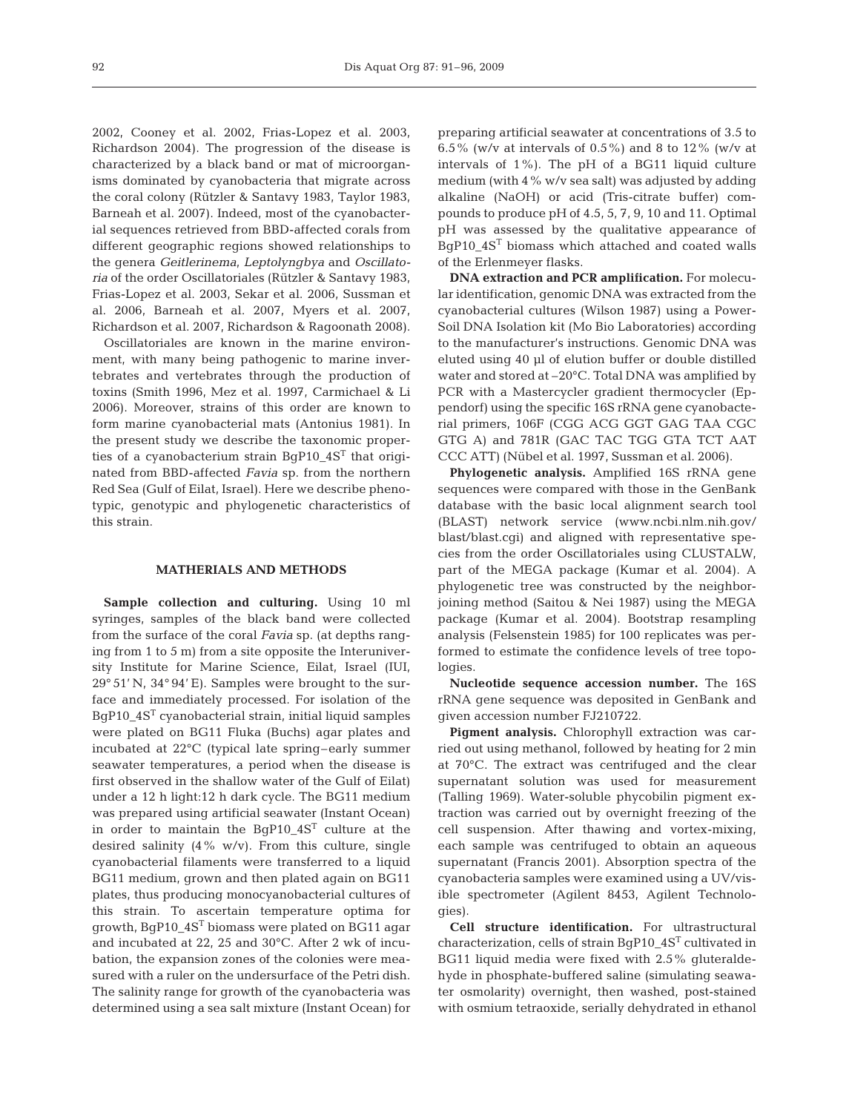2002, Cooney et al. 2002, Frias-Lopez et al. 2003, Richardson 2004). The progression of the disease is characterized by a black band or mat of microorganisms dominated by cyanobacteria that migrate across the coral colony (Rützler & Santavy 1983, Taylor 1983, Barneah et al. 2007). Indeed, most of the cyanobacterial sequences retrieved from BBD-affected corals from different geographic regions showed relationships to the genera *Geitlerinema*, *Leptolyngbya* and *Oscillatoria* of the order Oscillatoriales (Rützler & Santavy 1983, Frias-Lopez et al. 2003, Sekar et al. 2006, Sussman et al. 2006, Barneah et al. 2007, Myers et al. 2007, Richardson et al. 2007, Richardson & Ragoonath 2008).

Oscillatoriales are known in the marine environment, with many being pathogenic to marine invertebrates and vertebrates through the production of toxins (Smith 1996, Mez et al. 1997, Carmichael & Li 2006). Moreover, strains of this order are known to form marine cyanobacterial mats (Antonius 1981). In the present study we describe the taxonomic properties of a cyanobacterium strain BgP10\_4ST that originated from BBD-affected *Favia* sp. from the northern Red Sea (Gulf of Eilat, Israel). Here we describe phenotypic, genotypic and phylogenetic characteristics of this strain.

#### **MATHERIALS AND METHODS**

**Sample collection and culturing.** Using 10 ml syringes, samples of the black band were collected from the surface of the coral *Favia* sp. (at depths ranging from 1 to 5 m) from a site opposite the Interuniversity Institute for Marine Science, Eilat, Israel (IUI, 29° 51' N, 34° 94' E). Samples were brought to the surface and immediately processed. For isolation of the BgP10\_4ST cyanobacterial strain, initial liquid samples were plated on BG11 Fluka (Buchs) agar plates and incubated at 22°C (typical late spring–early summer seawater temperatures, a period when the disease is first observed in the shallow water of the Gulf of Eilat) under a 12 h light:12 h dark cycle. The BG11 medium was prepared using artificial seawater (Instant Ocean) in order to maintain the BgP10\_4ST culture at the desired salinity  $(4\% \text{ w/v})$ . From this culture, single cyanobacterial filaments were transferred to a liquid BG11 medium, grown and then plated again on BG11 plates, thus producing monocyanobacterial cultures of this strain. To ascertain temperature optima for growth, BgP10\_4ST biomass were plated on BG11 agar and incubated at 22, 25 and 30°C. After 2 wk of incubation, the expansion zones of the colonies were measured with a ruler on the undersurface of the Petri dish. The salinity range for growth of the cyanobacteria was determined using a sea salt mixture (Instant Ocean) for

preparing artificial seawater at concentrations of 3.5 to 6.5% (w/v at intervals of 0.5%) and 8 to 12% (w/v at intervals of 1%). The pH of a BG11 liquid culture medium (with 4% w/v sea salt) was adjusted by adding alkaline (NaOH) or acid (Tris-citrate buffer) compounds to produce pH of 4.5, 5, 7, 9, 10 and 11. Optimal pH was assessed by the qualitative appearance of BgP10\_4ST biomass which attached and coated walls of the Erlenmeyer flasks.

**DNA extraction and PCR amplification.** For molecular identification, genomic DNA was extracted from the cyanobacterial cultures (Wilson 1987) using a Power-Soil DNA Isolation kit (Mo Bio Laboratories) according to the manufacturer's instructions. Genomic DNA was eluted using 40 µl of elution buffer or double distilled water and stored at –20°C. Total DNA was amplified by PCR with a Mastercycler gradient thermocycler (Eppendorf) using the specific 16S rRNA gene cyanobacterial primers, 106F (CGG ACG GGT GAG TAA CGC GTG A) and 781R (GAC TAC TGG GTA TCT AAT CCC ATT) (Nübel et al. 1997, Sussman et al. 2006).

**Phylogenetic analysis.** Amplified 16S rRNA gene sequences were compared with those in the GenBank database with the basic local alignment search tool (BLAST) network service (www.ncbi.nlm.nih.gov/ blast/blast.cgi) and aligned with representative species from the order Oscillatoriales using CLUSTALW, part of the MEGA package (Kumar et al. 2004). A phylogenetic tree was constructed by the neighborjoining method (Saitou & Nei 1987) using the MEGA package (Kumar et al. 2004). Bootstrap resampling analysis (Felsenstein 1985) for 100 replicates was performed to estimate the confidence levels of tree topologies.

**Nucleotide sequence accession number.** The 16S rRNA gene sequence was deposited in GenBank and given accession number FJ210722.

**Pigment analysis.** Chlorophyll extraction was carried out using methanol, followed by heating for 2 min at 70°C. The extract was centrifuged and the clear supernatant solution was used for measurement (Talling 1969). Water-soluble phycobilin pigment extraction was carried out by overnight freezing of the cell suspension. After thawing and vortex-mixing, each sample was centrifuged to obtain an aqueous supernatant (Francis 2001). Absorption spectra of the cyanobacteria samples were examined using a UV/visible spectrometer (Agilent 8453, Agilent Technologies).

**Cell structure identification.** For ultrastructural characterization, cells of strain BgP10\_4ST cultivated in BG11 liquid media were fixed with 2.5% gluteraldehyde in phosphate-buffered saline (simulating seawater osmolarity) overnight, then washed, post-stained with osmium tetraoxide, serially dehydrated in ethanol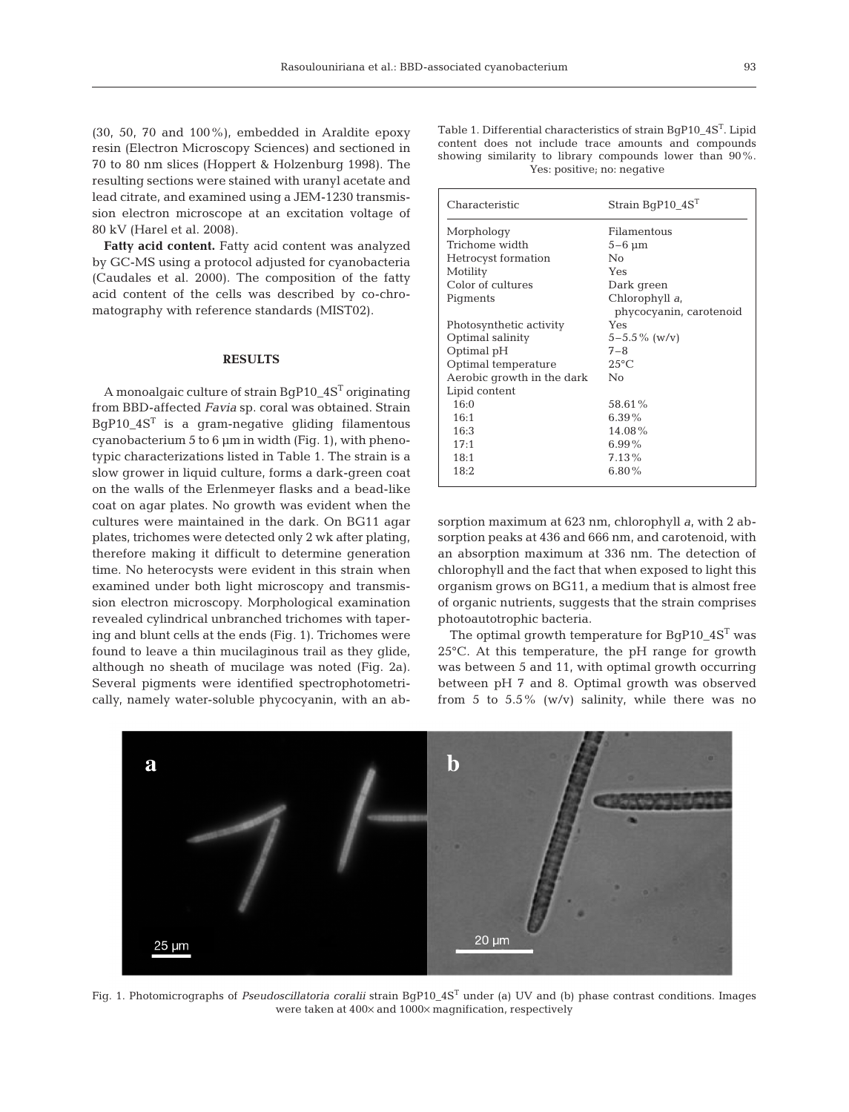(30, 50, 70 and 100%), embedded in Araldite epoxy resin (Electron Microscopy Sciences) and sectioned in 70 to 80 nm slices (Hoppert & Holzenburg 1998). The resulting sections were stained with uranyl acetate and lead citrate, and examined using a JEM-1230 transmission electron microscope at an excitation voltage of 80 kV (Harel et al. 2008).

**Fatty acid content.** Fatty acid content was analyzed by GC-MS using a protocol adjusted for cyanobacteria (Caudales et al. 2000). The composition of the fatty acid content of the cells was described by co-chromatography with reference standards (MIST02).

#### **RESULTS**

A monoalgaic culture of strain BgP10\_4ST originating from BBD-affected *Favia* sp. coral was obtained. Strain  $BgP10_4S<sup>T</sup>$  is a gram-negative gliding filamentous cyanobacterium  $5$  to  $6 \mu m$  in width (Fig. 1), with phenotypic characterizations listed in Table 1. The strain is a slow grower in liquid culture, forms a dark-green coat on the walls of the Erlenmeyer flasks and a bead-like coat on agar plates. No growth was evident when the cultures were maintained in the dark. On BG11 agar plates, trichomes were detected only 2 wk after plating, therefore making it difficult to determine generation time. No heterocysts were evident in this strain when examined under both light microscopy and transmission electron microscopy. Morphological examination revealed cylindrical unbranched trichomes with tapering and blunt cells at the ends (Fig. 1). Trichomes were found to leave a thin mucilaginous trail as they glide, although no sheath of mucilage was noted (Fig. 2a). Several pigments were identified spectrophotometrically, namely water-soluble phycocyanin, with an abTable 1. Differential characteristics of strain BgP10\_4ST. Lipid content does not include trace amounts and compounds showing similarity to library compounds lower than 90%. Yes: positive; no: negative

| Characteristic             | Strain $BqP10_4S^T$     |
|----------------------------|-------------------------|
| Morphology                 | Filamentous             |
| Trichome width             | $5-6 \mu m$             |
| Hetrocyst formation        | No                      |
| Motility                   | Yes                     |
| Color of cultures          | Dark green              |
| Pigments                   | Chlorophyll a,          |
|                            | phycocyanin, carotenoid |
| Photosynthetic activity    | Yes                     |
| Optimal salinity           | $5 - 5.5\%$ (w/v)       |
| Optimal pH                 | $7 - 8$                 |
| Optimal temperature        | $25^{\circ}$ C          |
| Aerobic growth in the dark | No                      |
| Lipid content              |                         |
| 16:0                       | 58.61%                  |
| 16:1                       | $6.39\%$                |
| 16:3                       | 14.08%                  |
| 17:1                       | 6.99%                   |
| 18:1                       | $7.13\%$                |
| 18:2                       | $6.80\%$                |
|                            |                         |

sorption maximum at 623 nm, chlorophyll *a*, with 2 absorption peaks at 436 and 666 nm, and carotenoid, with an absorption maximum at 336 nm. The detection of chlorophyll and the fact that when exposed to light this organism grows on BG11, a medium that is almost free of organic nutrients, suggests that the strain comprises photoautotrophic bacteria.

The optimal growth temperature for BgP10\_4S<sup>T</sup> was 25°C. At this temperature, the pH range for growth was between 5 and 11, with optimal growth occurring between pH 7 and 8. Optimal growth was observed from 5 to  $5.5\%$  (w/v) salinity, while there was no



Fig. 1. Photomicrographs of *Pseudoscillatoria coralii* strain BgP10\_4ST under (a) UV and (b) phase contrast conditions. Images were taken at 400× and 1000× magnification, respectively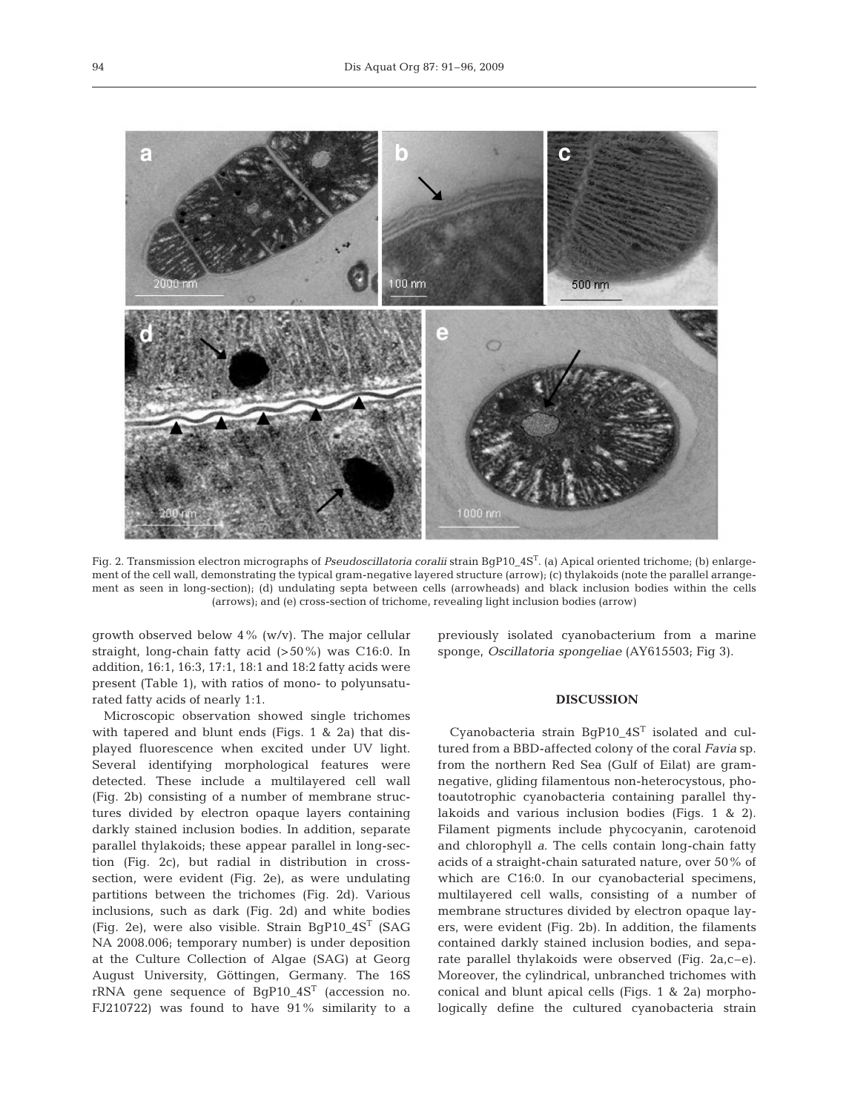

Fig. 2. Transmission electron micrographs of *Pseudoscillatoria coralii* strain BgP10\_4ST. (a) Apical oriented trichome; (b) enlargement of the cell wall, demonstrating the typical gram-negative layered structure (arrow); (c) thylakoids (note the parallel arrangement as seen in long-section); (d) undulating septa between cells (arrowheads) and black inclusion bodies within the cells (arrows); and (e) cross-section of trichome, revealing light inclusion bodies (arrow)

growth observed below 4% (w/v). The major cellular straight, long-chain fatty acid (>50%) was C16:0. In addition, 16:1, 16:3, 17:1, 18:1 and 18:2 fatty acids were present (Table 1), with ratios of mono- to polyunsaturated fatty acids of nearly 1:1.

Microscopic observation showed single trichomes with tapered and blunt ends (Figs. 1 & 2a) that displayed fluorescence when excited under UV light. Several identifying morphological features were detected. These include a multilayered cell wall (Fig. 2b) consisting of a number of membrane structures divided by electron opaque layers containing darkly stained inclusion bodies. In addition, separate parallel thylakoids; these appear parallel in long-section (Fig. 2c), but radial in distribution in crosssection, were evident (Fig. 2e), as were undulating partitions between the trichomes (Fig. 2d). Various inclusions, such as dark (Fig. 2d) and white bodies (Fig. 2e), were also visible. Strain BgP10\_4ST (SAG NA 2008.006; temporary number) is under deposition at the Culture Collection of Algae (SAG) at Georg August University, Göttingen, Germany. The 16S rRNA gene sequence of BgP10\_4ST (accession no. FJ210722) was found to have 91% similarity to a

previously isolated cyanobacterium from a marine sponge, *Oscillatoria spongeliae* (AY615503; Fig 3).

#### **DISCUSSION**

Cyanobacteria strain  $BqP10_4S^T$  isolated and cultured from a BBD-affected colony of the coral *Favia* sp. from the northern Red Sea (Gulf of Eilat) are gramnegative, gliding filamentous non-heterocystous, photoautotrophic cyanobacteria containing parallel thylakoids and various inclusion bodies (Figs. 1 & 2). Filament pigments include phycocyanin, carotenoid and chlorophyll *a*. The cells contain long-chain fatty acids of a straight-chain saturated nature, over 50% of which are C16:0. In our cyanobacterial specimens, multilayered cell walls, consisting of a number of membrane structures divided by electron opaque layers, were evident (Fig. 2b). In addition, the filaments contained darkly stained inclusion bodies, and separate parallel thylakoids were observed (Fig. 2a,c–e). Moreover, the cylindrical, unbranched trichomes with conical and blunt apical cells (Figs. 1 & 2a) morphologically define the cultured cyanobacteria strain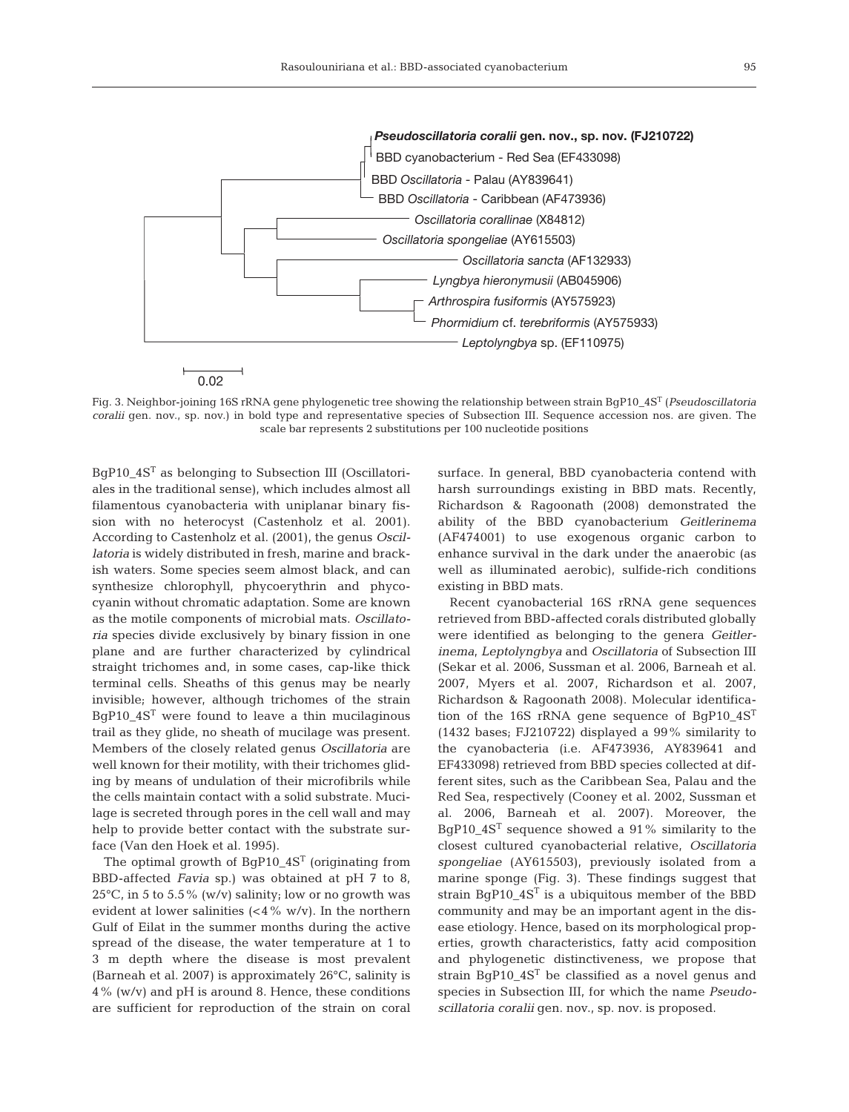

Fig. 3. Neighbor-joining 16S rRNA gene phylogenetic tree showing the relationship between strain BgP10\_4ST (*Pseudoscillatoria coralii* gen. nov., sp. nov.) in bold type and representative species of Subsection III. Sequence accession nos. are given. The scale bar represents 2 substitutions per 100 nucleotide positions

BgP10\_4ST as belonging to Subsection III (Oscillatoriales in the traditional sense), which includes almost all filamentous cyanobacteria with uniplanar binary fission with no heterocyst (Castenholz et al. 2001). According to Castenholz et al. (2001), the genus *Oscillatoria* is widely distributed in fresh, marine and brackish waters. Some species seem almost black, and can synthesize chlorophyll, phycoerythrin and phycocyanin without chromatic adaptation. Some are known as the motile components of microbial mats. *Oscillatoria* species divide exclusively by binary fission in one plane and are further characterized by cylindrical straight trichomes and, in some cases, cap-like thick terminal cells. Sheaths of this genus may be nearly invisible; however, although trichomes of the strain  $BgP10_4S<sup>T</sup>$  were found to leave a thin mucilaginous trail as they glide, no sheath of mucilage was present. Members of the closely related genus *Oscillatoria* are well known for their motility, with their trichomes gliding by means of undulation of their microfibrils while the cells maintain contact with a solid substrate. Mucilage is secreted through pores in the cell wall and may help to provide better contact with the substrate surface (Van den Hoek et al. 1995).

The optimal growth of BgP10\_4S<sup>T</sup> (originating from BBD-affected *Favia* sp.) was obtained at pH 7 to 8, 25°C, in 5 to 5.5% (w/v) salinity; low or no growth was evident at lower salinities  $\left(\langle 4\% w/v \rangle \right)$ . In the northern Gulf of Eilat in the summer months during the active spread of the disease, the water temperature at 1 to 3 m depth where the disease is most prevalent (Barneah et al. 2007) is approximately 26°C, salinity is 4% (w/v) and pH is around 8. Hence, these conditions are sufficient for reproduction of the strain on coral surface. In general, BBD cyanobacteria contend with harsh surroundings existing in BBD mats. Recently, Richardson & Ragoonath (2008) demonstrated the ability of the BBD cyanobacterium *Geitlerinema* (AF474001) to use exogenous organic carbon to enhance survival in the dark under the anaerobic (as well as illuminated aerobic), sulfide-rich conditions existing in BBD mats.

Recent cyanobacterial 16S rRNA gene sequences retrieved from BBD-affected corals distributed globally were identified as belonging to the genera *Geitlerinema*, *Leptolyngbya* and *Oscillatoria* of Subsection III (Sekar et al. 2006, Sussman et al. 2006, Barneah et al. 2007, Myers et al. 2007, Richardson et al. 2007, Richardson & Ragoonath 2008). Molecular identification of the 16S rRNA gene sequence of BgP10\_4ST (1432 bases; FJ210722) displayed a 99% similarity to the cyanobacteria (i.e. AF473936, AY839641 and EF433098) retrieved from BBD species collected at different sites, such as the Caribbean Sea, Palau and the Red Sea, respectively (Cooney et al. 2002, Sussman et al. 2006, Barneah et al. 2007). Moreover, the BgP10\_4ST sequence showed a 91% similarity to the closest cultured cyanobacterial relative, *Oscillatoria spongeliae* (AY615503), previously isolated from a marine sponge (Fig. 3). These findings suggest that strain BgP10\_4S<sup>T</sup> is a ubiquitous member of the BBD community and may be an important agent in the disease etiology. Hence, based on its morphological properties, growth characteristics, fatty acid composition and phylogenetic distinctiveness, we propose that strain BgP10\_4S<sup>T</sup> be classified as a novel genus and species in Subsection III, for which the name *Pseudoscillatoria coralii* gen. nov., sp. nov. is proposed.